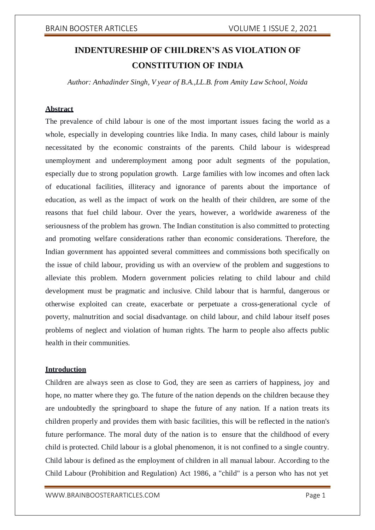# **INDENTURESHIP OF CHILDREN'S AS VIOLATION OF CONSTITUTION OF INDIA**

*Author: Anhadinder Singh, V year of B.A.,LL.B. from Amity Law School, Noida*

# **Abstract**

The prevalence of child labour is one of the most important issues facing the world as a whole, especially in developing countries like India. In many cases, child labour is mainly necessitated by the economic constraints of the parents. Child labour is widespread unemployment and underemployment among poor adult segments of the population, especially due to strong population growth. Large families with low incomes and often lack of educational facilities, illiteracy and ignorance of parents about the importance of education, as well as the impact of work on the health of their children, are some of the reasons that fuel child labour. Over the years, however, a worldwide awareness of the seriousness of the problem has grown. The Indian constitution is also committed to protecting and promoting welfare considerations rather than economic considerations. Therefore, the Indian government has appointed several committees and commissions both specifically on the issue of child labour, providing us with an overview of the problem and suggestions to alleviate this problem. Modern government policies relating to child labour and child development must be pragmatic and inclusive. Child labour that is harmful, dangerous or otherwise exploited can create, exacerbate or perpetuate a cross-generational cycle of poverty, malnutrition and social disadvantage. on child labour, and child labour itself poses problems of neglect and violation of human rights. The harm to people also affects public health in their communities.

# **Introduction**

Children are always seen as close to God, they are seen as carriers of happiness, joy and hope, no matter where they go. The future of the nation depends on the children because they are undoubtedly the springboard to shape the future of any nation. If a nation treats its children properly and provides them with basic facilities, this will be reflected in the nation's future performance. The moral duty of the nation is to ensure that the childhood of every child is protected. Child labour is a global phenomenon, it is not confined to a single country. Child labour is defined as the employment of children in all manual labour. According to the Child Labour (Prohibition and Regulation) Act 1986, a "child" is a person who has not yet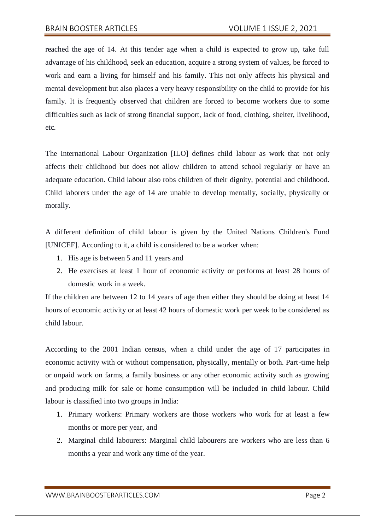reached the age of 14. At this tender age when a child is expected to grow up, take full advantage of his childhood, seek an education, acquire a strong system of values, be forced to work and earn a living for himself and his family. This not only affects his physical and mental development but also places a very heavy responsibility on the child to provide for his family. It is frequently observed that children are forced to become workers due to some difficulties such as lack of strong financial support, lack of food, clothing, shelter, livelihood, etc.

The International Labour Organization [ILO] defines child labour as work that not only affects their childhood but does not allow children to attend school regularly or have an adequate education. Child labour also robs children of their dignity, potential and childhood. Child laborers under the age of 14 are unable to develop mentally, socially, physically or morally.

A different definition of child labour is given by the United Nations Children's Fund [UNICEF]. According to it, a child is considered to be a worker when:

- 1. His age is between 5 and 11 years and
- 2. He exercises at least 1 hour of economic activity or performs at least 28 hours of domestic work in a week.

If the children are between 12 to 14 years of age then either they should be doing at least 14 hours of economic activity or at least 42 hours of domestic work per week to be considered as child labour.

According to the 2001 Indian census, when a child under the age of 17 participates in economic activity with or without compensation, physically, mentally or both. Part-time help or unpaid work on farms, a family business or any other economic activity such as growing and producing milk for sale or home consumption will be included in child labour. Child labour is classified into two groups in India:

- 1. Primary workers: Primary workers are those workers who work for at least a few months or more per year, and
- 2. Marginal child labourers: Marginal child labourers are workers who are less than 6 months a year and work any time of the year.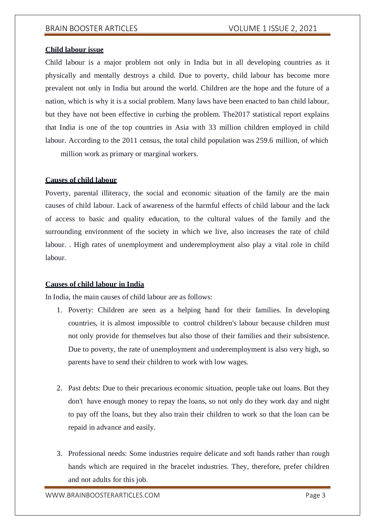# **Child labour issue**

Child labour is a major problem not only in India but in all developing countries as it physically and mentally destroys a child. Due to poverty, child labour has become more prevalent not only in India but around the world. Children are the hope and the future of a nation, which is why it is a social problem. Many laws have been enacted to ban child labour, but they have not been effective in curbing the problem. The2017 statistical report explains that India is one of the top countries in Asia with 33 million children employed in child labour. According to the 2011 census, the total child population was 259.6 million, of which

million work as primary or marginal workers.

# **Causes of child labour**

Poverty, parental illiteracy, the social and economic situation of the family are the main causes of child labour. Lack of awareness of the harmful effects of child labour and the lack of access to basic and quality education, to the cultural values of the family and the surrounding environment of the society in which we live, also increases the rate of child labour. . High rates of unemployment and underemployment also play a vital role in child labour.

### **Causes of child labour in India**

In India, the main causes of child labour are as follows:

- 1. Poverty: Children are seen as a helping hand for their families. In developing countries, it is almost impossible to control children's labour because children must not only provide for themselves but also those of their families and their subsistence. Due to poverty, the rate of unemployment and underemployment is also very high, so parents have to send their children to work with low wages.
- 2. Past debts: Due to their precarious economic situation, people take out loans. But they don't have enough money to repay the loans, so not only do they work day and night to pay off the loans, but they also train their children to work so that the loan can be repaid in advance and easily.
- 3. Professional needs: Some industries require delicate and soft hands rather than rough hands which are required in the bracelet industries. They, therefore, prefer children and not adults for this job.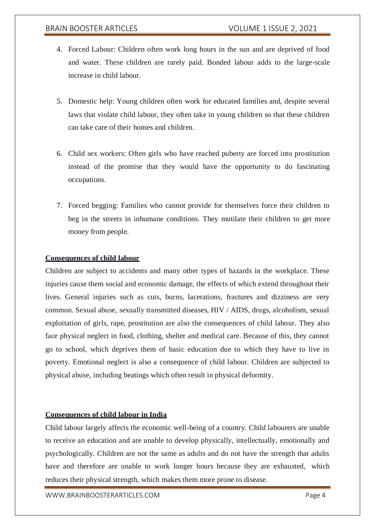- 4. Forced Labour: Children often work long hours in the sun and are deprived of food and water. These children are rarely paid. Bonded labour adds to the large-scale increase in child labour.
- 5. Domestic help: Young children often work for educated families and, despite several laws that violate child labour, they often take in young children so that these children can take care of their homes and children.
- 6. Child sex workers: Often girls who have reached puberty are forced into prostitution instead of the promise that they would have the opportunity to do fascinating occupations.
- 7. Forced begging: Families who cannot provide for themselves force their children to beg in the streets in inhumane conditions. They mutilate their children to get more money from people.

# **Consequences of child labour**

Children are subject to accidents and many other types of hazards in the workplace. These injuries cause them social and economic damage, the effects of which extend throughout their lives. General injuries such as cuts, burns, lacerations, fractures and dizziness are very common. Sexual abuse, sexually transmitted diseases, HIV / AIDS, drugs, alcoholism, sexual exploitation of girls, rape, prostitution are also the consequences of child labour. They also face physical neglect in food, clothing, shelter and medical care. Because of this, they cannot go to school, which deprives them of basic education due to which they have to live in poverty. Emotional neglect is also a consequence of child labour. Children are subjected to physical abuse, including beatings which often result in physical deformity.

# **Consequences of child labour in India**

Child labour largely affects the economic well-being of a country. Child labourers are unable to receive an education and are unable to develop physically, intellectually, emotionally and psychologically. Children are not the same as adults and do not have the strength that adults have and therefore are unable to work longer hours because they are exhausted, which reduces their physical strength, which makes them more prone to disease.

[WWW.BRAINBOOSTERARTICLES.COM](http://www.brainboosterarticles.com/) example a state of the page 4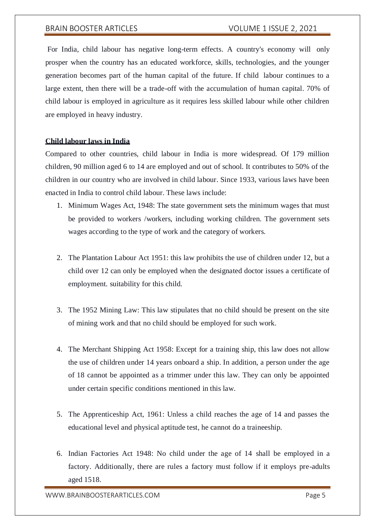For India, child labour has negative long-term effects. A country's economy will only prosper when the country has an educated workforce, skills, technologies, and the younger generation becomes part of the human capital of the future. If child labour continues to a large extent, then there will be a trade-off with the accumulation of human capital. 70% of child labour is employed in agriculture as it requires less skilled labour while other children are employed in heavy industry.

# **Child labour laws in India**

Compared to other countries, child labour in India is more widespread. Of 179 million children, 90 million aged 6 to 14 are employed and out of school. It contributes to 50% of the children in our country who are involved in child labour. Since 1933, various laws have been enacted in India to control child labour. These laws include:

- 1. Minimum Wages Act, 1948: The state government sets the minimum wages that must be provided to workers /workers, including working children. The government sets wages according to the type of work and the category of workers.
- 2. The Plantation Labour Act 1951: this law prohibits the use of children under 12, but a child over 12 can only be employed when the designated doctor issues a certificate of employment. suitability for this child.
- 3. The 1952 Mining Law: This law stipulates that no child should be present on the site of mining work and that no child should be employed for such work.
- 4. The Merchant Shipping Act 1958: Except for a training ship, this law does not allow the use of children under 14 years onboard a ship. In addition, a person under the age of 18 cannot be appointed as a trimmer under this law. They can only be appointed under certain specific conditions mentioned in this law.
- 5. The Apprenticeship Act, 1961: Unless a child reaches the age of 14 and passes the educational level and physical aptitude test, he cannot do a traineeship.
- 6. Indian Factories Act 1948: No child under the age of 14 shall be employed in a factory. Additionally, there are rules a factory must follow if it employs pre-adults aged 1518.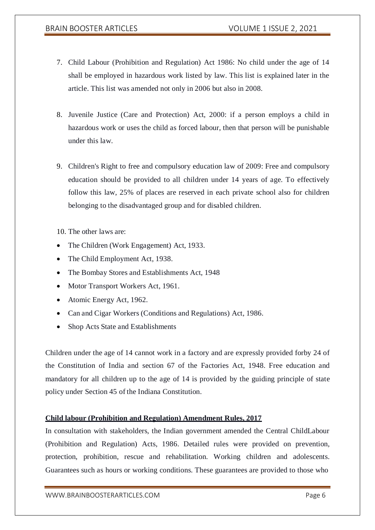- 7. Child Labour (Prohibition and Regulation) Act 1986: No child under the age of 14 shall be employed in hazardous work listed by law. This list is explained later in the article. This list was amended not only in 2006 but also in 2008.
- 8. Juvenile Justice (Care and Protection) Act, 2000: if a person employs a child in hazardous work or uses the child as forced labour, then that person will be punishable under this law.
- 9. Children's Right to free and compulsory education law of 2009: Free and compulsory education should be provided to all children under 14 years of age. To effectively follow this law, 25% of places are reserved in each private school also for children belonging to the disadvantaged group and for disabled children.

10. The other laws are:

- The Children (Work Engagement) Act, 1933.
- The Child Employment Act, 1938.
- The Bombay Stores and Establishments Act, 1948
- Motor Transport Workers Act, 1961.
- Atomic Energy Act, 1962.
- Can and Cigar Workers (Conditions and Regulations) Act, 1986.
- Shop Acts State and Establishments

Children under the age of 14 cannot work in a factory and are expressly provided forby 24 of the Constitution of India and section 67 of the Factories Act, 1948. Free education and mandatory for all children up to the age of 14 is provided by the guiding principle of state policy under Section 45 of the Indiana Constitution.

# **Child labour (Prohibition and Regulation) Amendment Rules, 2017**

In consultation with stakeholders, the Indian government amended the Central ChildLabour (Prohibition and Regulation) Acts, 1986. Detailed rules were provided on prevention, protection, prohibition, rescue and rehabilitation. Working children and adolescents. Guarantees such as hours or working conditions. These guarantees are provided to those who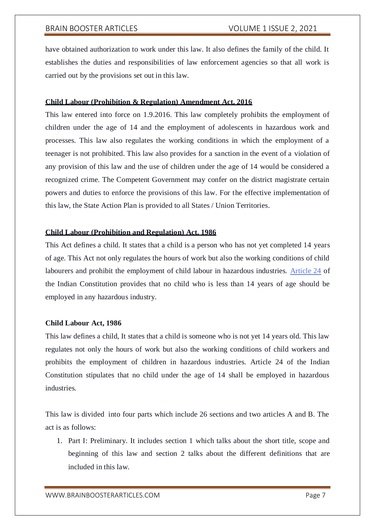have obtained authorization to work under this law. It also defines the family of the child. It establishes the duties and responsibilities of law enforcement agencies so that all work is carried out by the provisions set out in this law.

# **Child Labour (Prohibition & Regulation) Amendment Act, 2016**

This law entered into force on 1.9.2016. This law completely prohibits the employment of children under the age of 14 and the employment of adolescents in hazardous work and processes. This law also regulates the working conditions in which the employment of a teenager is not prohibited. This law also provides for a sanction in the event of a violation of any provision of this law and the use of children under the age of 14 would be considered a recognized crime. The Competent Government may confer on the district magistrate certain powers and duties to enforce the provisions of this law. For the effective implementation of this law, the State Action Plan is provided to all States / Union Territories.

# **Child Labour (Prohibition and Regulation) Act, 1986**

This Act defines a child. It states that a child is a person who has not yet completed 14 years of age. This Act not only regulates the hours of work but also the working conditions of child labourers and prohibit the employment of child labour in hazardous industries. [Article 24](https://indiankanoon.org/doc/1540780/) of the Indian Constitution provides that no child who is less than 14 years of age should be employed in any hazardous industry.

# **Child Labour Act, 1986**

This law defines a child, It states that a child is someone who is not yet 14 years old. This law regulates not only the hours of work but also the working conditions of child workers and prohibits the employment of children in hazardous industries. Article 24 of the Indian Constitution stipulates that no child under the age of 14 shall be employed in hazardous industries.

This law is divided into four parts which include 26 sections and two articles A and B. The act is as follows:

1. Part I: Preliminary. It includes section 1 which talks about the short title, scope and beginning of this law and section 2 talks about the different definitions that are included in this law.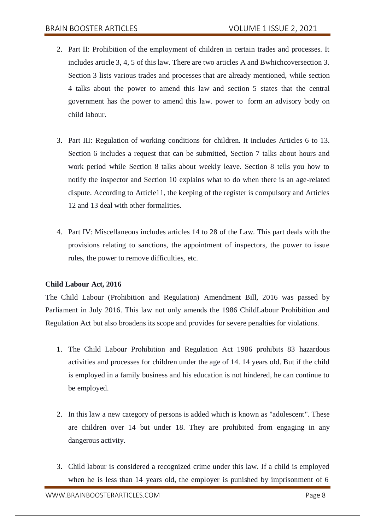- 2. Part II: Prohibition of the employment of children in certain trades and processes. It includes article 3, 4, 5 of this law. There are two articles A and Bwhichcoversection 3. Section 3 lists various trades and processes that are already mentioned, while section 4 talks about the power to amend this law and section 5 states that the central government has the power to amend this law. power to form an advisory body on child labour.
- 3. Part III: Regulation of working conditions for children. It includes Articles 6 to 13. Section 6 includes a request that can be submitted, Section 7 talks about hours and work period while Section 8 talks about weekly leave. Section 8 tells you how to notify the inspector and Section 10 explains what to do when there is an age-related dispute. According to Article11, the keeping of the register is compulsory and Articles 12 and 13 deal with other formalities.
- 4. Part IV: Miscellaneous includes articles 14 to 28 of the Law. This part deals with the provisions relating to sanctions, the appointment of inspectors, the power to issue rules, the power to remove difficulties, etc.

### **Child Labour Act, 2016**

The Child Labour (Prohibition and Regulation) Amendment Bill, 2016 was passed by Parliament in July 2016. This law not only amends the 1986 ChildLabour Prohibition and Regulation Act but also broadens its scope and provides for severe penalties for violations.

- 1. The Child Labour Prohibition and Regulation Act 1986 prohibits 83 hazardous activities and processes for children under the age of 14. 14 years old. But if the child is employed in a family business and his education is not hindered, he can continue to be employed.
- 2. In this law a new category of persons is added which is known as "adolescent". These are children over 14 but under 18. They are prohibited from engaging in any dangerous activity.
- 3. Child labour is considered a recognized crime under this law. If a child is employed when he is less than 14 years old, the employer is punished by imprisonment of 6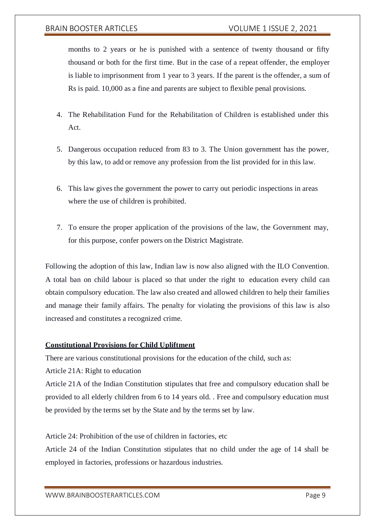months to 2 years or he is punished with a sentence of twenty thousand or fifty thousand or both for the first time. But in the case of a repeat offender, the employer is liable to imprisonment from 1 year to 3 years. If the parent is the offender, a sum of Rs is paid. 10,000 as a fine and parents are subject to flexible penal provisions.

- 4. The Rehabilitation Fund for the Rehabilitation of Children is established under this Act.
- 5. Dangerous occupation reduced from 83 to 3. The Union government has the power, by this law, to add or remove any profession from the list provided for in this law.
- 6. This law gives the government the power to carry out periodic inspections in areas where the use of children is prohibited.
- 7. To ensure the proper application of the provisions of the law, the Government may, for this purpose, confer powers on the District Magistrate.

Following the adoption of this law, Indian law is now also aligned with the ILO Convention. A total ban on child labour is placed so that under the right to education every child can obtain compulsory education. The law also created and allowed children to help their families and manage their family affairs. The penalty for violating the provisions of this law is also increased and constitutes a recognized crime.

# **Constitutional Provisions for Child Upliftment**

There are various constitutional provisions for the education of the child, such as:

Article 21A: Right to education

Article 21A of the Indian Constitution stipulates that free and compulsory education shall be provided to all elderly children from 6 to 14 years old. . Free and compulsory education must be provided by the terms set by the State and by the terms set by law.

Article 24: Prohibition of the use of children in factories, etc

Article 24 of the Indian Constitution stipulates that no child under the age of 14 shall be employed in factories, professions or hazardous industries.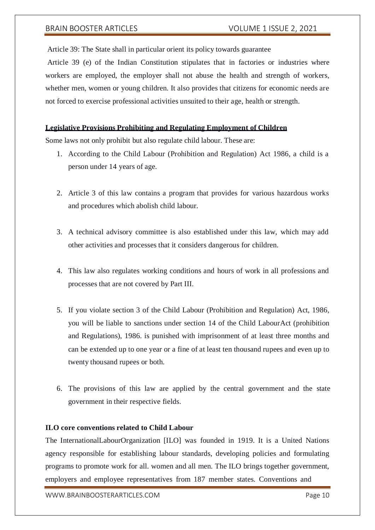Article 39: The State shall in particular orient its policy towards guarantee

Article 39 (e) of the Indian Constitution stipulates that in factories or industries where workers are employed, the employer shall not abuse the health and strength of workers, whether men, women or young children. It also provides that citizens for economic needs are not forced to exercise professional activities unsuited to their age, health or strength.

# **Legislative Provisions Prohibiting and Regulating Employment of Children**

Some laws not only prohibit but also regulate child labour. These are:

- 1. According to the Child Labour (Prohibition and Regulation) Act 1986, a child is a person under 14 years of age.
- 2. Article 3 of this law contains a program that provides for various hazardous works and procedures which abolish child labour.
- 3. A technical advisory committee is also established under this law, which may add other activities and processes that it considers dangerous for children.
- 4. This law also regulates working conditions and hours of work in all professions and processes that are not covered by Part III.
- 5. If you violate section 3 of the Child Labour (Prohibition and Regulation) Act, 1986, you will be liable to sanctions under section 14 of the Child LabourAct (prohibition and Regulations), 1986. is punished with imprisonment of at least three months and can be extended up to one year or a fine of at least ten thousand rupees and even up to twenty thousand rupees or both.
- 6. The provisions of this law are applied by the central government and the state government in their respective fields.

# **ILO core conventions related to Child Labour**

The InternationalLabourOrganization [ILO] was founded in 1919. It is a United Nations agency responsible for establishing labour standards, developing policies and formulating programs to promote work for all. women and all men. The ILO brings together government, employers and employee representatives from 187 member states. Conventions and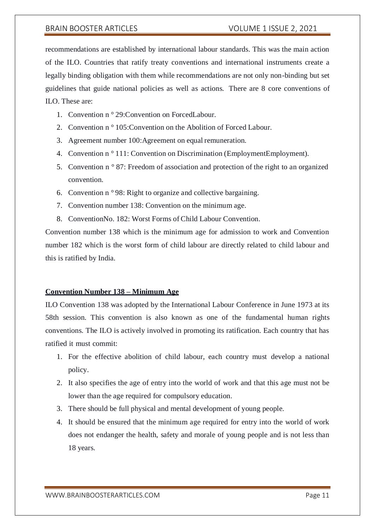recommendations are established by international labour standards. This was the main action of the ILO. Countries that ratify treaty conventions and international instruments create a legally binding obligation with them while recommendations are not only non-binding but set guidelines that guide national policies as well as actions. There are 8 core conventions of ILO. These are:

- 1. Convention n ° 29:Convention on ForcedLabour.
- 2. Convention n ° 105:Convention on the Abolition of Forced Labour.
- 3. Agreement number 100:Agreement on equal remuneration.
- 4. Convention n<sup>o</sup> 111: Convention on Discrimination (EmploymentEmployment).
- 5. Convention n ° 87: Freedom of association and protection of the right to an organized convention.
- 6. Convention n ° 98: Right to organize and collective bargaining.
- 7. Convention number 138: Convention on the minimum age.
- 8. ConventionNo. 182: Worst Forms of Child Labour Convention.

Convention number 138 which is the minimum age for admission to work and Convention number 182 which is the worst form of child labour are directly related to child labour and this is ratified by India.

### **Convention Number 138 – Minimum Age**

ILO Convention 138 was adopted by the International Labour Conference in June 1973 at its 58th session. This convention is also known as one of the fundamental human rights conventions. The ILO is actively involved in promoting its ratification. Each country that has ratified it must commit:

- 1. For the effective abolition of child labour, each country must develop a national policy.
- 2. It also specifies the age of entry into the world of work and that this age must not be lower than the age required for compulsory education.
- 3. There should be full physical and mental development of young people.
- 4. It should be ensured that the minimum age required for entry into the world of work does not endanger the health, safety and morale of young people and is not less than 18 years.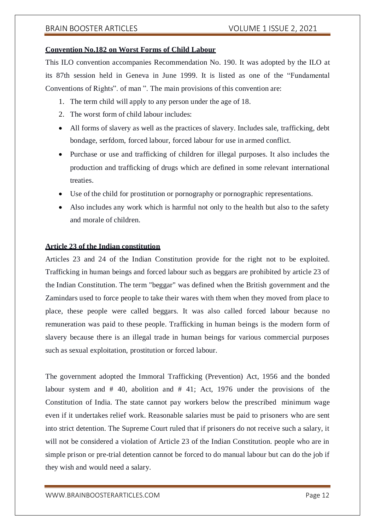# **Convention No.182 on Worst Forms of Child Labour**

This ILO convention accompanies Recommendation No. 190. It was adopted by the ILO at its 87th session held in Geneva in June 1999. It is listed as one of the "Fundamental Conventions of Rights". of man ". The main provisions of this convention are:

- 1. The term child will apply to any person under the age of 18.
- 2. The worst form of child labour includes:
- All forms of slavery as well as the practices of slavery. Includes sale, trafficking, debt bondage, serfdom, forced labour, forced labour for use in armed conflict.
- Purchase or use and trafficking of children for illegal purposes. It also includes the production and trafficking of drugs which are defined in some relevant international treaties.
- Use of the child for prostitution or pornography or pornographic representations.
- Also includes any work which is harmful not only to the health but also to the safety and morale of children.

# **Article 23 of the Indian constitution**

Articles 23 and 24 of the Indian Constitution provide for the right not to be exploited. Trafficking in human beings and forced labour such as beggars are prohibited by article 23 of the Indian Constitution. The term "beggar" was defined when the British government and the Zamindars used to force people to take their wares with them when they moved from place to place, these people were called beggars. It was also called forced labour because no remuneration was paid to these people. Trafficking in human beings is the modern form of slavery because there is an illegal trade in human beings for various commercial purposes such as sexual exploitation, prostitution or forced labour.

The government adopted the Immoral Trafficking (Prevention) Act, 1956 and the bonded labour system and # 40, abolition and # 41; Act, 1976 under the provisions of the Constitution of India. The state cannot pay workers below the prescribed minimum wage even if it undertakes relief work. Reasonable salaries must be paid to prisoners who are sent into strict detention. The Supreme Court ruled that if prisoners do not receive such a salary, it will not be considered a violation of Article 23 of the Indian Constitution. people who are in simple prison or pre-trial detention cannot be forced to do manual labour but can do the job if they wish and would need a salary.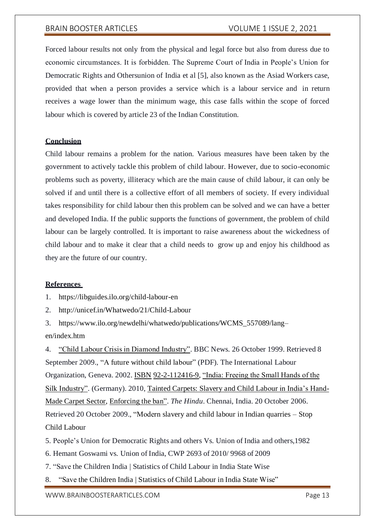Forced labour results not only from the physical and legal force but also from duress due to economic circumstances. It is forbidden. The Supreme Court of India in People's Union for Democratic Rights and Othersunion of India et al [5], also known as the Asiad Workers case, provided that when a person provides a service which is a labour service and in return receives a wage lower than the minimum wage, this case falls within the scope of forced labour which is covered by article 23 of the Indian Constitution.

# **Conclusion**

Child labour remains a problem for the nation. Various measures have been taken by the government to actively tackle this problem of child labour. However, due to socio-economic problems such as poverty, illiteracy which are the main cause of child labour, it can only be solved if and until there is a collective effort of all members of society. If every individual takes responsibility for child labour then this problem can be solved and we can have a better and developed India. If the public supports the functions of government, the problem of child labour can be largely controlled. It is important to raise awareness about the wickedness of child labour and to make it clear that a child needs to grow up and enjoy his childhood as they are the future of our country.

### **References**

1. https://libguides.ilo.org/child-labour-en

2. <http://unicef.in/Whatwedo/21/Child-Labour>

3. https:[//www.ilo.org/newdelhi/whatwedo/publications/WCMS\\_557089/lang–](http://www.ilo.org/newdelhi/whatwedo/publications/WCMS_557089/lang) en/index.htm

4. ["Child Labour Crisis in Diamond Industry". B](http://news.bbc.co.uk/2/hi/programmes/letter_from_america/15377.stm)BC News. 26 October 1999. Retrieved 8 September 2009., "A future without child labour" (PDF). The International Labour Organization, Geneva. 2002. [ISBN](https://en.wikipedia.org/wiki/International_Standard_Book_Number) 92-2-112416-9, ["India: Freeing the Small Hands of the](http://www.dw.de/dw/article/0%2C%2C1114659%2C00.html) [Silk Industry". \(](http://www.dw.de/dw/article/0%2C%2C1114659%2C00.html)Germany). 2010, [Tainted Carpets: Slavery and Child Labour in India's Hand-](http://fxb.harvard.edu/wp-content/uploads/sites/5/2014/01/Tainted-Carpets-Released-01-28-14.pdf)Made Carpet [Sector,](http://fxb.harvard.edu/wp-content/uploads/sites/5/2014/01/Tainted-Carpets-Released-01-28-14.pdf) [Enforcing the](http://www.hindu.com/2006/10/20/stories/2006102002811000.htm) ban". *The Hindu*. Chennai, India. 20 October 2006. Retrieved 20 October 2009., "Modern slavery and child labour in Indian quarries – Stop Child Labour

5. People's Union for Democratic Rights and others Vs. Union of India and others,1982

- 6. Hemant Goswami vs. Union of India, CWP 2693 of 2010/ 9968 of 2009
- 7. "Save the Children India | Statistics of Child Labour in India State Wise

8. "Save the Children India | Statistics of Child Labour in India State Wise"